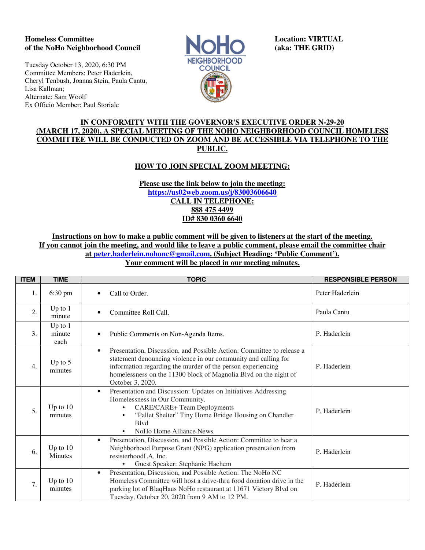## **Homeless Committee Location: VIRTUAL of the NoHo Neighborhood Council and Council (aka: THE GRID)** *aka: THE GRID***)**

Tuesday October 13, 2020, 6:30 PM Committee Members: Peter Haderlein, Cheryl Tenbush, Joanna Stein, Paula Cantu, Lisa Kallman; Alternate: Sam Woolf Ex Officio Member: Paul Storiale



## **IN CONFORMITY WITH THE GOVERNOR'S EXECUTIVE ORDER N-29-20 (MARCH 17, 2020), A SPECIAL MEETING OF THE NOHO NEIGHBORHOOD COUNCIL HOMELESS COMMITTEE WILL BE CONDUCTED ON ZOOM AND BE ACCESSIBLE VIA TELEPHONE TO THE PUBLIC.**

# **HOW TO JOIN SPECIAL ZOOM MEETING:**

### **Please use the link below to join the meeting: https://us02web.zoom.us/j/83003606640 CALL IN TELEPHONE: 888 475 4499 ID# 830 0360 6640**

**Instructions on how to make a public comment will be given to listeners at the start of the meeting. If you cannot join the meeting, and would like to leave a public comment, please email the committee chair at peter.haderlein.nohonc@gmail.com. (Subject Heading: 'Public Comment'). Your comment will be placed in our meeting minutes.**

| <b>ITEM</b>      | <b>TIME</b>                  | <b>TOPIC</b>                                                                                                                                                                                                                                                                                                | <b>RESPONSIBLE PERSON</b> |
|------------------|------------------------------|-------------------------------------------------------------------------------------------------------------------------------------------------------------------------------------------------------------------------------------------------------------------------------------------------------------|---------------------------|
| 1.               | 6:30 pm                      | Call to Order.<br>٠                                                                                                                                                                                                                                                                                         | Peter Haderlein           |
| 2.               | Up to $1$<br>minute          | Committee Roll Call.                                                                                                                                                                                                                                                                                        | Paula Cantu               |
| 3.               | Up to $1$<br>minute<br>each  | Public Comments on Non-Agenda Items.                                                                                                                                                                                                                                                                        | P. Haderlein              |
| $\overline{4}$ . | Up to $5$<br>minutes         | Presentation, Discussion, and Possible Action: Committee to release a<br>$\bullet$<br>statement denouncing violence in our community and calling for<br>information regarding the murder of the person experiencing<br>homelessness on the 11300 block of Magnolia Blvd on the night of<br>October 3, 2020. | P. Haderlein              |
| 5.               | Up to $10$<br>minutes        | Presentation and Discussion: Updates on Initiatives Addressing<br>$\bullet$<br>Homelessness in Our Community.<br><b>CARE/CARE+ Team Deployments</b><br>"Pallet Shelter" Tiny Home Bridge Housing on Chandler<br>$\bullet$<br><b>B</b> lvd<br>NoHo Home Alliance News                                        | P. Haderlein              |
| 6.               | Up to $10$<br><b>Minutes</b> | Presentation, Discussion, and Possible Action: Committee to hear a<br>$\bullet$<br>Neighborhood Purpose Grant (NPG) application presentation from<br>resisterhoodLA, Inc.<br>Guest Speaker: Stephanie Hachem                                                                                                | P. Haderlein              |
| 7.               | Up to $10$<br>minutes        | Presentation, Discussion, and Possible Action: The NoHo NC<br>$\bullet$<br>Homeless Committee will host a drive-thru food donation drive in the<br>parking lot of BlaqHaus NoHo restaurant at 11671 Victory Blvd on<br>Tuesday, October 20, 2020 from 9 AM to 12 PM.                                        | P. Haderlein              |